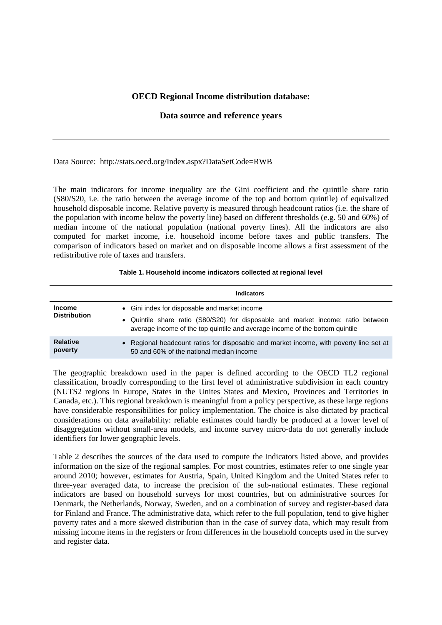## **OECD Regional Income distribution database:**

## **Data source and reference years**

Data Source: http://stats.oecd.org/Index.aspx?DataSetCode=RWB

The main indicators for income inequality are the Gini coefficient and the quintile share ratio (S80/S20, i.e. the ratio between the average income of the top and bottom quintile) of equivalized household disposable income. Relative poverty is measured through headcount ratios (i.e. the share of the population with income below the poverty line) based on different thresholds (e.g. 50 and 60%) of median income of the national population (national poverty lines). All the indicators are also computed for market income, i.e. household income before taxes and public transfers. The comparison of indicators based on market and on disposable income allows a first assessment of the redistributive role of taxes and transfers.

## **Table 1. Household income indicators collected at regional level**

|                                      | <b>Indicators</b>                                                                                                                                                                                                 |
|--------------------------------------|-------------------------------------------------------------------------------------------------------------------------------------------------------------------------------------------------------------------|
| <b>Income</b><br><b>Distribution</b> | • Gini index for disposable and market income<br>• Quintile share ratio (S80/S20) for disposable and market income: ratio between<br>average income of the top quintile and average income of the bottom quintile |
| <b>Relative</b><br>poverty           | • Regional headcount ratios for disposable and market income, with poverty line set at<br>50 and 60% of the national median income                                                                                |

The geographic breakdown used in the paper is defined according to the OECD TL2 regional classification, broadly corresponding to the first level of administrative subdivision in each country (NUTS2 regions in Europe, States in the Unites States and Mexico, Provinces and Territories in Canada, etc.). This regional breakdown is meaningful from a policy perspective, as these large regions have considerable responsibilities for policy implementation. The choice is also dictated by practical considerations on data availability: reliable estimates could hardly be produced at a lower level of disaggregation without small-area models, and income survey micro-data do not generally include identifiers for lower geographic levels.

Table 2 describes the sources of the data used to compute the indicators listed above, and provides information on the size of the regional samples. For most countries, estimates refer to one single year around 2010; however, estimates for Austria, Spain, United Kingdom and the United States refer to three-year averaged data, to increase the precision of the sub-national estimates. These regional indicators are based on household surveys for most countries, but on administrative sources for Denmark, the Netherlands, Norway, Sweden, and on a combination of survey and register-based data for Finland and France. The administrative data, which refer to the full population, tend to give higher poverty rates and a more skewed distribution than in the case of survey data, which may result from missing income items in the registers or from differences in the household concepts used in the survey and register data.